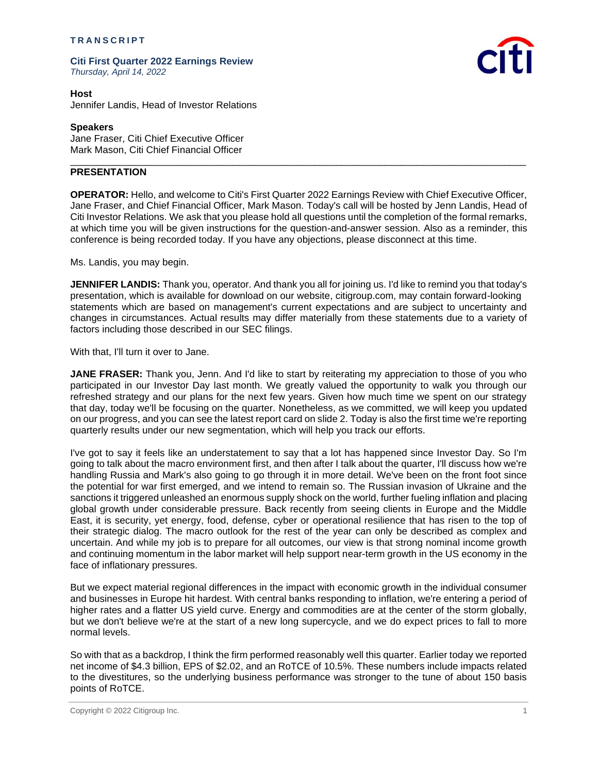### **T R A N S C R I P T**

**Citi First Quarter 2022 Earnings Review** *Thursday, April 14, 2022*



**Host** Jennifer Landis, Head of Investor Relations

# **Speakers**

Jane Fraser, Citi Chief Executive Officer Mark Mason, Citi Chief Financial Officer

## **PRESENTATION**

**OPERATOR:** Hello, and welcome to Citi's First Quarter 2022 Earnings Review with Chief Executive Officer, Jane Fraser, and Chief Financial Officer, Mark Mason. Today's call will be hosted by Jenn Landis, Head of Citi Investor Relations. We ask that you please hold all questions until the completion of the formal remarks, at which time you will be given instructions for the question-and-answer session. Also as a reminder, this conference is being recorded today. If you have any objections, please disconnect at this time.

\_\_\_\_\_\_\_\_\_\_\_\_\_\_\_\_\_\_\_\_\_\_\_\_\_\_\_\_\_\_\_\_\_\_\_\_\_\_\_\_\_\_\_\_\_\_\_\_\_\_\_\_\_\_\_\_\_\_\_\_\_\_\_\_\_\_\_\_\_\_\_\_\_\_\_\_\_\_\_\_\_\_\_\_

Ms. Landis, you may begin.

**JENNIFER LANDIS:** Thank you, operator. And thank you all for joining us. I'd like to remind you that today's presentation, which is available for download on our website, citigroup.com, may contain forward-looking statements which are based on management's current expectations and are subject to uncertainty and changes in circumstances. Actual results may differ materially from these statements due to a variety of factors including those described in our SEC filings.

With that, I'll turn it over to Jane.

**JANE FRASER:** Thank you, Jenn. And I'd like to start by reiterating my appreciation to those of you who participated in our Investor Day last month. We greatly valued the opportunity to walk you through our refreshed strategy and our plans for the next few years. Given how much time we spent on our strategy that day, today we'll be focusing on the quarter. Nonetheless, as we committed, we will keep you updated on our progress, and you can see the latest report card on slide 2. Today is also the first time we're reporting quarterly results under our new segmentation, which will help you track our efforts.

I've got to say it feels like an understatement to say that a lot has happened since Investor Day. So I'm going to talk about the macro environment first, and then after I talk about the quarter, I'll discuss how we're handling Russia and Mark's also going to go through it in more detail. We've been on the front foot since the potential for war first emerged, and we intend to remain so. The Russian invasion of Ukraine and the sanctions it triggered unleashed an enormous supply shock on the world, further fueling inflation and placing global growth under considerable pressure. Back recently from seeing clients in Europe and the Middle East, it is security, yet energy, food, defense, cyber or operational resilience that has risen to the top of their strategic dialog. The macro outlook for the rest of the year can only be described as complex and uncertain. And while my job is to prepare for all outcomes, our view is that strong nominal income growth and continuing momentum in the labor market will help support near-term growth in the US economy in the face of inflationary pressures.

But we expect material regional differences in the impact with economic growth in the individual consumer and businesses in Europe hit hardest. With central banks responding to inflation, we're entering a period of higher rates and a flatter US yield curve. Energy and commodities are at the center of the storm globally, but we don't believe we're at the start of a new long supercycle, and we do expect prices to fall to more normal levels.

So with that as a backdrop, I think the firm performed reasonably well this quarter. Earlier today we reported net income of \$4.3 billion, EPS of \$2.02, and an RoTCE of 10.5%. These numbers include impacts related to the divestitures, so the underlying business performance was stronger to the tune of about 150 basis points of RoTCE.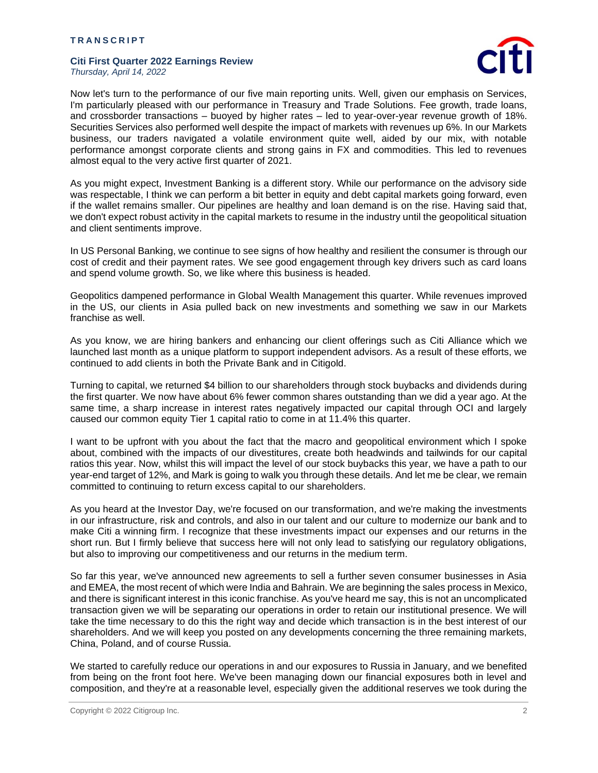

Now let's turn to the performance of our five main reporting units. Well, given our emphasis on Services, I'm particularly pleased with our performance in Treasury and Trade Solutions. Fee growth, trade loans, and crossborder transactions – buoyed by higher rates – led to year-over-year revenue growth of 18%. Securities Services also performed well despite the impact of markets with revenues up 6%. In our Markets business, our traders navigated a volatile environment quite well, aided by our mix, with notable performance amongst corporate clients and strong gains in FX and commodities. This led to revenues almost equal to the very active first quarter of 2021.

As you might expect, Investment Banking is a different story. While our performance on the advisory side was respectable, I think we can perform a bit better in equity and debt capital markets going forward, even if the wallet remains smaller. Our pipelines are healthy and loan demand is on the rise. Having said that, we don't expect robust activity in the capital markets to resume in the industry until the geopolitical situation and client sentiments improve.

In US Personal Banking, we continue to see signs of how healthy and resilient the consumer is through our cost of credit and their payment rates. We see good engagement through key drivers such as card loans and spend volume growth. So, we like where this business is headed.

Geopolitics dampened performance in Global Wealth Management this quarter. While revenues improved in the US, our clients in Asia pulled back on new investments and something we saw in our Markets franchise as well.

As you know, we are hiring bankers and enhancing our client offerings such as Citi Alliance which we launched last month as a unique platform to support independent advisors. As a result of these efforts, we continued to add clients in both the Private Bank and in Citigold.

Turning to capital, we returned \$4 billion to our shareholders through stock buybacks and dividends during the first quarter. We now have about 6% fewer common shares outstanding than we did a year ago. At the same time, a sharp increase in interest rates negatively impacted our capital through OCI and largely caused our common equity Tier 1 capital ratio to come in at 11.4% this quarter.

I want to be upfront with you about the fact that the macro and geopolitical environment which I spoke about, combined with the impacts of our divestitures, create both headwinds and tailwinds for our capital ratios this year. Now, whilst this will impact the level of our stock buybacks this year, we have a path to our year-end target of 12%, and Mark is going to walk you through these details. And let me be clear, we remain committed to continuing to return excess capital to our shareholders.

As you heard at the Investor Day, we're focused on our transformation, and we're making the investments in our infrastructure, risk and controls, and also in our talent and our culture to modernize our bank and to make Citi a winning firm. I recognize that these investments impact our expenses and our returns in the short run. But I firmly believe that success here will not only lead to satisfying our regulatory obligations, but also to improving our competitiveness and our returns in the medium term.

So far this year, we've announced new agreements to sell a further seven consumer businesses in Asia and EMEA, the most recent of which were India and Bahrain. We are beginning the sales process in Mexico, and there is significant interest in this iconic franchise. As you've heard me say, this is not an uncomplicated transaction given we will be separating our operations in order to retain our institutional presence. We will take the time necessary to do this the right way and decide which transaction is in the best interest of our shareholders. And we will keep you posted on any developments concerning the three remaining markets, China, Poland, and of course Russia.

We started to carefully reduce our operations in and our exposures to Russia in January, and we benefited from being on the front foot here. We've been managing down our financial exposures both in level and composition, and they're at a reasonable level, especially given the additional reserves we took during the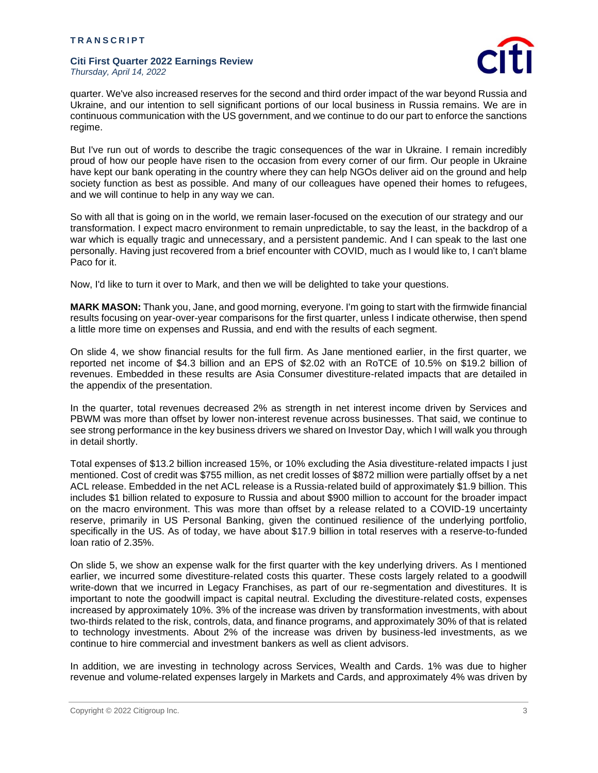

quarter. We've also increased reserves for the second and third order impact of the war beyond Russia and Ukraine, and our intention to sell significant portions of our local business in Russia remains. We are in continuous communication with the US government, and we continue to do our part to enforce the sanctions regime.

But I've run out of words to describe the tragic consequences of the war in Ukraine. I remain incredibly proud of how our people have risen to the occasion from every corner of our firm. Our people in Ukraine have kept our bank operating in the country where they can help NGOs deliver aid on the ground and help society function as best as possible. And many of our colleagues have opened their homes to refugees, and we will continue to help in any way we can.

So with all that is going on in the world, we remain laser-focused on the execution of our strategy and our transformation. I expect macro environment to remain unpredictable, to say the least, in the backdrop of a war which is equally tragic and unnecessary, and a persistent pandemic. And I can speak to the last one personally. Having just recovered from a brief encounter with COVID, much as I would like to, I can't blame Paco for it.

Now, I'd like to turn it over to Mark, and then we will be delighted to take your questions.

**MARK MASON:** Thank you, Jane, and good morning, everyone. I'm going to start with the firmwide financial results focusing on year-over-year comparisons for the first quarter, unless I indicate otherwise, then spend a little more time on expenses and Russia, and end with the results of each segment.

On slide 4, we show financial results for the full firm. As Jane mentioned earlier, in the first quarter, we reported net income of \$4.3 billion and an EPS of \$2.02 with an RoTCE of 10.5% on \$19.2 billion of revenues. Embedded in these results are Asia Consumer divestiture-related impacts that are detailed in the appendix of the presentation.

In the quarter, total revenues decreased 2% as strength in net interest income driven by Services and PBWM was more than offset by lower non-interest revenue across businesses. That said, we continue to see strong performance in the key business drivers we shared on Investor Day, which I will walk you through in detail shortly.

Total expenses of \$13.2 billion increased 15%, or 10% excluding the Asia divestiture-related impacts I just mentioned. Cost of credit was \$755 million, as net credit losses of \$872 million were partially offset by a net ACL release. Embedded in the net ACL release is a Russia-related build of approximately \$1.9 billion. This includes \$1 billion related to exposure to Russia and about \$900 million to account for the broader impact on the macro environment. This was more than offset by a release related to a COVID-19 uncertainty reserve, primarily in US Personal Banking, given the continued resilience of the underlying portfolio, specifically in the US. As of today, we have about \$17.9 billion in total reserves with a reserve-to-funded loan ratio of 2.35%.

On slide 5, we show an expense walk for the first quarter with the key underlying drivers. As I mentioned earlier, we incurred some divestiture-related costs this quarter. These costs largely related to a goodwill write-down that we incurred in Legacy Franchises, as part of our re-segmentation and divestitures. It is important to note the goodwill impact is capital neutral. Excluding the divestiture-related costs, expenses increased by approximately 10%. 3% of the increase was driven by transformation investments, with about two-thirds related to the risk, controls, data, and finance programs, and approximately 30% of that is related to technology investments. About 2% of the increase was driven by business-led investments, as we continue to hire commercial and investment bankers as well as client advisors.

In addition, we are investing in technology across Services, Wealth and Cards. 1% was due to higher revenue and volume-related expenses largely in Markets and Cards, and approximately 4% was driven by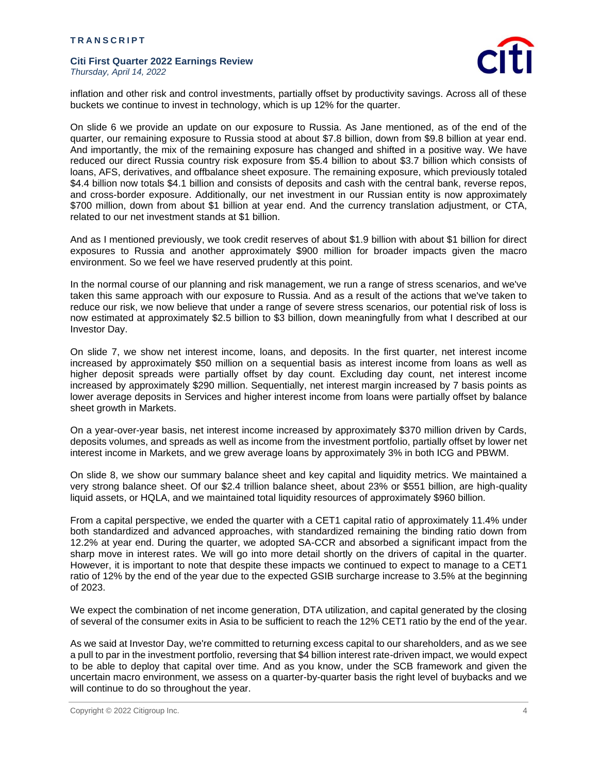

inflation and other risk and control investments, partially offset by productivity savings. Across all of these buckets we continue to invest in technology, which is up 12% for the quarter.

On slide 6 we provide an update on our exposure to Russia. As Jane mentioned, as of the end of the quarter, our remaining exposure to Russia stood at about \$7.8 billion, down from \$9.8 billion at year end. And importantly, the mix of the remaining exposure has changed and shifted in a positive way. We have reduced our direct Russia country risk exposure from \$5.4 billion to about \$3.7 billion which consists of loans, AFS, derivatives, and offbalance sheet exposure. The remaining exposure, which previously totaled \$4.4 billion now totals \$4.1 billion and consists of deposits and cash with the central bank, reverse repos, and cross-border exposure. Additionally, our net investment in our Russian entity is now approximately \$700 million, down from about \$1 billion at year end. And the currency translation adjustment, or CTA, related to our net investment stands at \$1 billion.

And as I mentioned previously, we took credit reserves of about \$1.9 billion with about \$1 billion for direct exposures to Russia and another approximately \$900 million for broader impacts given the macro environment. So we feel we have reserved prudently at this point.

In the normal course of our planning and risk management, we run a range of stress scenarios, and we've taken this same approach with our exposure to Russia. And as a result of the actions that we've taken to reduce our risk, we now believe that under a range of severe stress scenarios, our potential risk of loss is now estimated at approximately \$2.5 billion to \$3 billion, down meaningfully from what I described at our Investor Day.

On slide 7, we show net interest income, loans, and deposits. In the first quarter, net interest income increased by approximately \$50 million on a sequential basis as interest income from loans as well as higher deposit spreads were partially offset by day count. Excluding day count, net interest income increased by approximately \$290 million. Sequentially, net interest margin increased by 7 basis points as lower average deposits in Services and higher interest income from loans were partially offset by balance sheet growth in Markets.

On a year-over-year basis, net interest income increased by approximately \$370 million driven by Cards, deposits volumes, and spreads as well as income from the investment portfolio, partially offset by lower net interest income in Markets, and we grew average loans by approximately 3% in both ICG and PBWM.

On slide 8, we show our summary balance sheet and key capital and liquidity metrics. We maintained a very strong balance sheet. Of our \$2.4 trillion balance sheet, about 23% or \$551 billion, are high-quality liquid assets, or HQLA, and we maintained total liquidity resources of approximately \$960 billion.

From a capital perspective, we ended the quarter with a CET1 capital ratio of approximately 11.4% under both standardized and advanced approaches, with standardized remaining the binding ratio down from 12.2% at year end. During the quarter, we adopted SA-CCR and absorbed a significant impact from the sharp move in interest rates. We will go into more detail shortly on the drivers of capital in the quarter. However, it is important to note that despite these impacts we continued to expect to manage to a CET1 ratio of 12% by the end of the year due to the expected GSIB surcharge increase to 3.5% at the beginning of 2023.

We expect the combination of net income generation, DTA utilization, and capital generated by the closing of several of the consumer exits in Asia to be sufficient to reach the 12% CET1 ratio by the end of the year.

As we said at Investor Day, we're committed to returning excess capital to our shareholders, and as we see a pull to par in the investment portfolio, reversing that \$4 billion interest rate-driven impact, we would expect to be able to deploy that capital over time. And as you know, under the SCB framework and given the uncertain macro environment, we assess on a quarter-by-quarter basis the right level of buybacks and we will continue to do so throughout the year.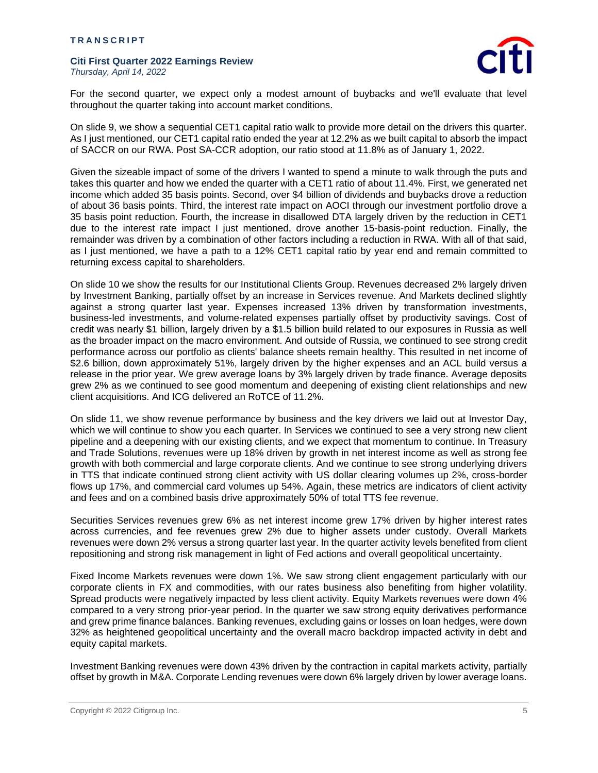

For the second quarter, we expect only a modest amount of buybacks and we'll evaluate that level throughout the quarter taking into account market conditions.

On slide 9, we show a sequential CET1 capital ratio walk to provide more detail on the drivers this quarter. As I just mentioned, our CET1 capital ratio ended the year at 12.2% as we built capital to absorb the impact of SACCR on our RWA. Post SA-CCR adoption, our ratio stood at 11.8% as of January 1, 2022.

Given the sizeable impact of some of the drivers I wanted to spend a minute to walk through the puts and takes this quarter and how we ended the quarter with a CET1 ratio of about 11.4%. First, we generated net income which added 35 basis points. Second, over \$4 billion of dividends and buybacks drove a reduction of about 36 basis points. Third, the interest rate impact on AOCI through our investment portfolio drove a 35 basis point reduction. Fourth, the increase in disallowed DTA largely driven by the reduction in CET1 due to the interest rate impact I just mentioned, drove another 15-basis-point reduction. Finally, the remainder was driven by a combination of other factors including a reduction in RWA. With all of that said, as I just mentioned, we have a path to a 12% CET1 capital ratio by year end and remain committed to returning excess capital to shareholders.

On slide 10 we show the results for our Institutional Clients Group. Revenues decreased 2% largely driven by Investment Banking, partially offset by an increase in Services revenue. And Markets declined slightly against a strong quarter last year. Expenses increased 13% driven by transformation investments, business-led investments, and volume-related expenses partially offset by productivity savings. Cost of credit was nearly \$1 billion, largely driven by a \$1.5 billion build related to our exposures in Russia as well as the broader impact on the macro environment. And outside of Russia, we continued to see strong credit performance across our portfolio as clients' balance sheets remain healthy. This resulted in net income of \$2.6 billion, down approximately 51%, largely driven by the higher expenses and an ACL build versus a release in the prior year. We grew average loans by 3% largely driven by trade finance. Average deposits grew 2% as we continued to see good momentum and deepening of existing client relationships and new client acquisitions. And ICG delivered an RoTCE of 11.2%.

On slide 11, we show revenue performance by business and the key drivers we laid out at Investor Day, which we will continue to show you each quarter. In Services we continued to see a very strong new client pipeline and a deepening with our existing clients, and we expect that momentum to continue. In Treasury and Trade Solutions, revenues were up 18% driven by growth in net interest income as well as strong fee growth with both commercial and large corporate clients. And we continue to see strong underlying drivers in TTS that indicate continued strong client activity with US dollar clearing volumes up 2%, cross-border flows up 17%, and commercial card volumes up 54%. Again, these metrics are indicators of client activity and fees and on a combined basis drive approximately 50% of total TTS fee revenue.

Securities Services revenues grew 6% as net interest income grew 17% driven by higher interest rates across currencies, and fee revenues grew 2% due to higher assets under custody. Overall Markets revenues were down 2% versus a strong quarter last year. In the quarter activity levels benefited from client repositioning and strong risk management in light of Fed actions and overall geopolitical uncertainty.

Fixed Income Markets revenues were down 1%. We saw strong client engagement particularly with our corporate clients in FX and commodities, with our rates business also benefiting from higher volatility. Spread products were negatively impacted by less client activity. Equity Markets revenues were down 4% compared to a very strong prior-year period. In the quarter we saw strong equity derivatives performance and grew prime finance balances. Banking revenues, excluding gains or losses on loan hedges, were down 32% as heightened geopolitical uncertainty and the overall macro backdrop impacted activity in debt and equity capital markets.

Investment Banking revenues were down 43% driven by the contraction in capital markets activity, partially offset by growth in M&A. Corporate Lending revenues were down 6% largely driven by lower average loans.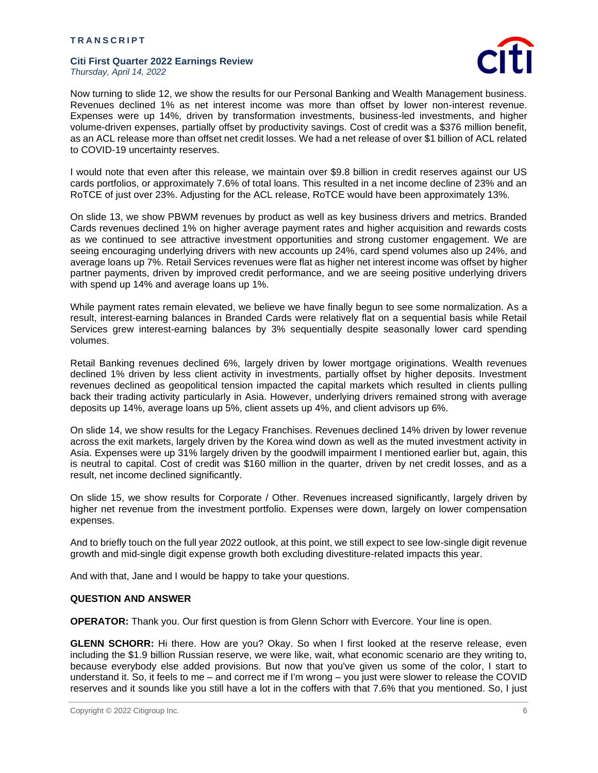

Now turning to slide 12, we show the results for our Personal Banking and Wealth Management business. Revenues declined 1% as net interest income was more than offset by lower non-interest revenue. Expenses were up 14%, driven by transformation investments, business-led investments, and higher volume-driven expenses, partially offset by productivity savings. Cost of credit was a \$376 million benefit, as an ACL release more than offset net credit losses. We had a net release of over \$1 billion of ACL related to COVID-19 uncertainty reserves.

I would note that even after this release, we maintain over \$9.8 billion in credit reserves against our US cards portfolios, or approximately 7.6% of total loans. This resulted in a net income decline of 23% and an RoTCE of just over 23%. Adjusting for the ACL release, RoTCE would have been approximately 13%.

On slide 13, we show PBWM revenues by product as well as key business drivers and metrics. Branded Cards revenues declined 1% on higher average payment rates and higher acquisition and rewards costs as we continued to see attractive investment opportunities and strong customer engagement. We are seeing encouraging underlying drivers with new accounts up 24%, card spend volumes also up 24%, and average loans up 7%. Retail Services revenues were flat as higher net interest income was offset by higher partner payments, driven by improved credit performance, and we are seeing positive underlying drivers with spend up 14% and average loans up 1%.

While payment rates remain elevated, we believe we have finally begun to see some normalization. As a result, interest-earning balances in Branded Cards were relatively flat on a sequential basis while Retail Services grew interest-earning balances by 3% sequentially despite seasonally lower card spending volumes.

Retail Banking revenues declined 6%, largely driven by lower mortgage originations. Wealth revenues declined 1% driven by less client activity in investments, partially offset by higher deposits. Investment revenues declined as geopolitical tension impacted the capital markets which resulted in clients pulling back their trading activity particularly in Asia. However, underlying drivers remained strong with average deposits up 14%, average loans up 5%, client assets up 4%, and client advisors up 6%.

On slide 14, we show results for the Legacy Franchises. Revenues declined 14% driven by lower revenue across the exit markets, largely driven by the Korea wind down as well as the muted investment activity in Asia. Expenses were up 31% largely driven by the goodwill impairment I mentioned earlier but, again, this is neutral to capital. Cost of credit was \$160 million in the quarter, driven by net credit losses, and as a result, net income declined significantly.

On slide 15, we show results for Corporate / Other. Revenues increased significantly, largely driven by higher net revenue from the investment portfolio. Expenses were down, largely on lower compensation expenses.

And to briefly touch on the full year 2022 outlook, at this point, we still expect to see low-single digit revenue growth and mid-single digit expense growth both excluding divestiture-related impacts this year.

And with that, Jane and I would be happy to take your questions.

## **QUESTION AND ANSWER**

**OPERATOR:** Thank you. Our first question is from Glenn Schorr with Evercore. Your line is open.

**GLENN SCHORR:** Hi there. How are you? Okay. So when I first looked at the reserve release, even including the \$1.9 billion Russian reserve, we were like, wait, what economic scenario are they writing to, because everybody else added provisions. But now that you've given us some of the color, I start to understand it. So, it feels to me – and correct me if I'm wrong – you just were slower to release the COVID reserves and it sounds like you still have a lot in the coffers with that 7.6% that you mentioned. So, I just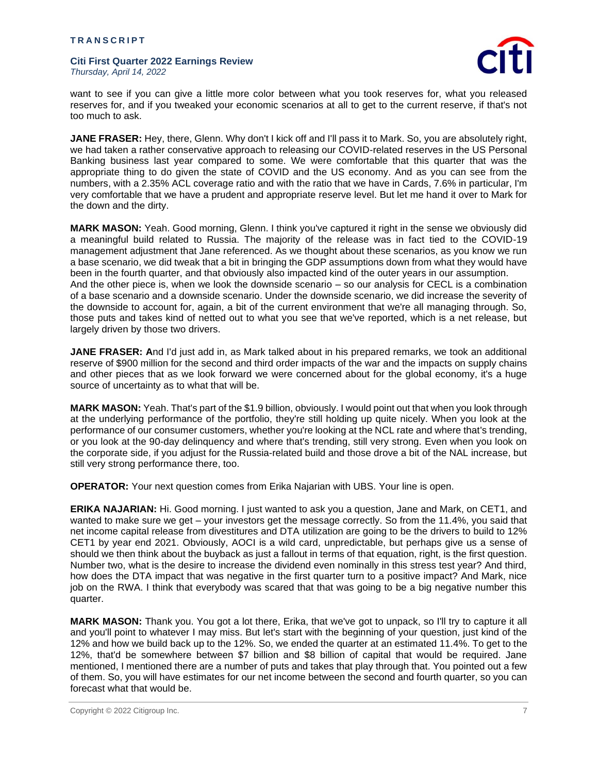

want to see if you can give a little more color between what you took reserves for, what you released reserves for, and if you tweaked your economic scenarios at all to get to the current reserve, if that's not too much to ask.

**JANE FRASER:** Hey, there, Glenn. Why don't I kick off and I'll pass it to Mark. So, you are absolutely right, we had taken a rather conservative approach to releasing our COVID-related reserves in the US Personal Banking business last year compared to some. We were comfortable that this quarter that was the appropriate thing to do given the state of COVID and the US economy. And as you can see from the numbers, with a 2.35% ACL coverage ratio and with the ratio that we have in Cards, 7.6% in particular, I'm very comfortable that we have a prudent and appropriate reserve level. But let me hand it over to Mark for the down and the dirty.

**MARK MASON:** Yeah. Good morning, Glenn. I think you've captured it right in the sense we obviously did a meaningful build related to Russia. The majority of the release was in fact tied to the COVID-19 management adjustment that Jane referenced. As we thought about these scenarios, as you know we run a base scenario, we did tweak that a bit in bringing the GDP assumptions down from what they would have been in the fourth quarter, and that obviously also impacted kind of the outer years in our assumption. And the other piece is, when we look the downside scenario – so our analysis for CECL is a combination of a base scenario and a downside scenario. Under the downside scenario, we did increase the severity of the downside to account for, again, a bit of the current environment that we're all managing through. So, those puts and takes kind of netted out to what you see that we've reported, which is a net release, but largely driven by those two drivers.

**JANE FRASER: A**nd I'd just add in, as Mark talked about in his prepared remarks, we took an additional reserve of \$900 million for the second and third order impacts of the war and the impacts on supply chains and other pieces that as we look forward we were concerned about for the global economy, it's a huge source of uncertainty as to what that will be.

**MARK MASON:** Yeah. That's part of the \$1.9 billion, obviously. I would point out that when you look through at the underlying performance of the portfolio, they're still holding up quite nicely. When you look at the performance of our consumer customers, whether you're looking at the NCL rate and where that's trending, or you look at the 90-day delinquency and where that's trending, still very strong. Even when you look on the corporate side, if you adjust for the Russia-related build and those drove a bit of the NAL increase, but still very strong performance there, too.

**OPERATOR:** Your next question comes from Erika Najarian with UBS. Your line is open.

**ERIKA NAJARIAN:** Hi. Good morning. I just wanted to ask you a question, Jane and Mark, on CET1, and wanted to make sure we get – your investors get the message correctly. So from the 11.4%, you said that net income capital release from divestitures and DTA utilization are going to be the drivers to build to 12% CET1 by year end 2021. Obviously, AOCI is a wild card, unpredictable, but perhaps give us a sense of should we then think about the buyback as just a fallout in terms of that equation, right, is the first question. Number two, what is the desire to increase the dividend even nominally in this stress test year? And third, how does the DTA impact that was negative in the first quarter turn to a positive impact? And Mark, nice job on the RWA. I think that everybody was scared that that was going to be a big negative number this quarter.

**MARK MASON:** Thank you. You got a lot there, Erika, that we've got to unpack, so I'll try to capture it all and you'll point to whatever I may miss. But let's start with the beginning of your question, just kind of the 12% and how we build back up to the 12%. So, we ended the quarter at an estimated 11.4%. To get to the 12%, that'd be somewhere between \$7 billion and \$8 billion of capital that would be required. Jane mentioned, I mentioned there are a number of puts and takes that play through that. You pointed out a few of them. So, you will have estimates for our net income between the second and fourth quarter, so you can forecast what that would be.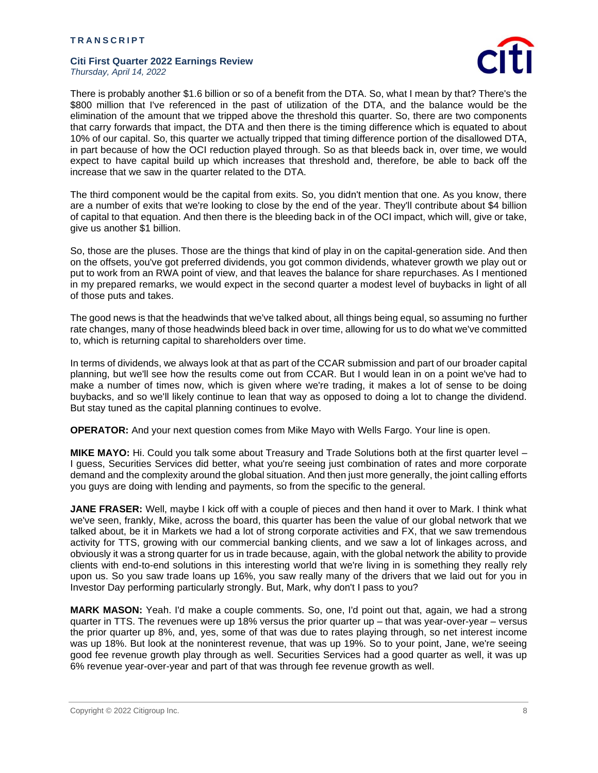

There is probably another \$1.6 billion or so of a benefit from the DTA. So, what I mean by that? There's the \$800 million that I've referenced in the past of utilization of the DTA, and the balance would be the elimination of the amount that we tripped above the threshold this quarter. So, there are two components that carry forwards that impact, the DTA and then there is the timing difference which is equated to about 10% of our capital. So, this quarter we actually tripped that timing difference portion of the disallowed DTA, in part because of how the OCI reduction played through. So as that bleeds back in, over time, we would expect to have capital build up which increases that threshold and, therefore, be able to back off the increase that we saw in the quarter related to the DTA.

The third component would be the capital from exits. So, you didn't mention that one. As you know, there are a number of exits that we're looking to close by the end of the year. They'll contribute about \$4 billion of capital to that equation. And then there is the bleeding back in of the OCI impact, which will, give or take, give us another \$1 billion.

So, those are the pluses. Those are the things that kind of play in on the capital-generation side. And then on the offsets, you've got preferred dividends, you got common dividends, whatever growth we play out or put to work from an RWA point of view, and that leaves the balance for share repurchases. As I mentioned in my prepared remarks, we would expect in the second quarter a modest level of buybacks in light of all of those puts and takes.

The good news is that the headwinds that we've talked about, all things being equal, so assuming no further rate changes, many of those headwinds bleed back in over time, allowing for us to do what we've committed to, which is returning capital to shareholders over time.

In terms of dividends, we always look at that as part of the CCAR submission and part of our broader capital planning, but we'll see how the results come out from CCAR. But I would lean in on a point we've had to make a number of times now, which is given where we're trading, it makes a lot of sense to be doing buybacks, and so we'll likely continue to lean that way as opposed to doing a lot to change the dividend. But stay tuned as the capital planning continues to evolve.

**OPERATOR:** And your next question comes from Mike Mayo with Wells Fargo. Your line is open.

**MIKE MAYO:** Hi. Could you talk some about Treasury and Trade Solutions both at the first quarter level – I guess, Securities Services did better, what you're seeing just combination of rates and more corporate demand and the complexity around the global situation. And then just more generally, the joint calling efforts you guys are doing with lending and payments, so from the specific to the general.

**JANE FRASER:** Well, maybe I kick off with a couple of pieces and then hand it over to Mark. I think what we've seen, frankly, Mike, across the board, this quarter has been the value of our global network that we talked about, be it in Markets we had a lot of strong corporate activities and FX, that we saw tremendous activity for TTS, growing with our commercial banking clients, and we saw a lot of linkages across, and obviously it was a strong quarter for us in trade because, again, with the global network the ability to provide clients with end-to-end solutions in this interesting world that we're living in is something they really rely upon us. So you saw trade loans up 16%, you saw really many of the drivers that we laid out for you in Investor Day performing particularly strongly. But, Mark, why don't I pass to you?

**MARK MASON:** Yeah. I'd make a couple comments. So, one, I'd point out that, again, we had a strong quarter in TTS. The revenues were up 18% versus the prior quarter up – that was year-over-year – versus the prior quarter up 8%, and, yes, some of that was due to rates playing through, so net interest income was up 18%. But look at the noninterest revenue, that was up 19%. So to your point, Jane, we're seeing good fee revenue growth play through as well. Securities Services had a good quarter as well, it was up 6% revenue year-over-year and part of that was through fee revenue growth as well.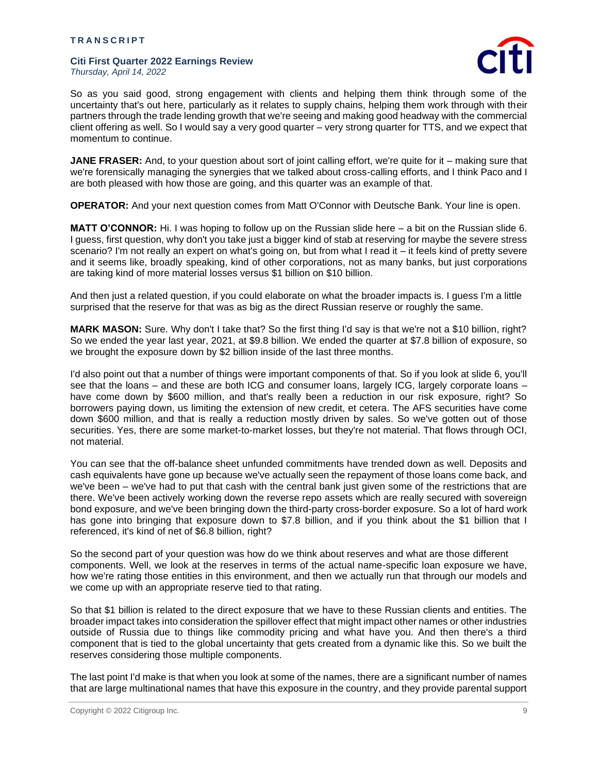

So as you said good, strong engagement with clients and helping them think through some of the uncertainty that's out here, particularly as it relates to supply chains, helping them work through with their partners through the trade lending growth that we're seeing and making good headway with the commercial client offering as well. So I would say a very good quarter – very strong quarter for TTS, and we expect that momentum to continue.

**JANE FRASER:** And, to your question about sort of joint calling effort, we're quite for it – making sure that we're forensically managing the synergies that we talked about cross-calling efforts, and I think Paco and I are both pleased with how those are going, and this quarter was an example of that.

**OPERATOR:** And your next question comes from Matt O'Connor with Deutsche Bank. Your line is open.

**MATT O'CONNOR:** Hi. I was hoping to follow up on the Russian slide here – a bit on the Russian slide 6. I guess, first question, why don't you take just a bigger kind of stab at reserving for maybe the severe stress scenario? I'm not really an expert on what's going on, but from what I read it – it feels kind of pretty severe and it seems like, broadly speaking, kind of other corporations, not as many banks, but just corporations are taking kind of more material losses versus \$1 billion on \$10 billion.

And then just a related question, if you could elaborate on what the broader impacts is. I guess I'm a little surprised that the reserve for that was as big as the direct Russian reserve or roughly the same.

**MARK MASON:** Sure. Why don't I take that? So the first thing I'd say is that we're not a \$10 billion, right? So we ended the year last year, 2021, at \$9.8 billion. We ended the quarter at \$7.8 billion of exposure, so we brought the exposure down by \$2 billion inside of the last three months.

I'd also point out that a number of things were important components of that. So if you look at slide 6, you'll see that the loans – and these are both ICG and consumer loans, largely ICG, largely corporate loans – have come down by \$600 million, and that's really been a reduction in our risk exposure, right? So borrowers paying down, us limiting the extension of new credit, et cetera. The AFS securities have come down \$600 million, and that is really a reduction mostly driven by sales. So we've gotten out of those securities. Yes, there are some market-to-market losses, but they're not material. That flows through OCI, not material.

You can see that the off-balance sheet unfunded commitments have trended down as well. Deposits and cash equivalents have gone up because we've actually seen the repayment of those loans come back, and we've been – we've had to put that cash with the central bank just given some of the restrictions that are there. We've been actively working down the reverse repo assets which are really secured with sovereign bond exposure, and we've been bringing down the third-party cross-border exposure. So a lot of hard work has gone into bringing that exposure down to \$7.8 billion, and if you think about the \$1 billion that I referenced, it's kind of net of \$6.8 billion, right?

So the second part of your question was how do we think about reserves and what are those different components. Well, we look at the reserves in terms of the actual name-specific loan exposure we have, how we're rating those entities in this environment, and then we actually run that through our models and we come up with an appropriate reserve tied to that rating.

So that \$1 billion is related to the direct exposure that we have to these Russian clients and entities. The broader impact takes into consideration the spillover effect that might impact other names or other industries outside of Russia due to things like commodity pricing and what have you. And then there's a third component that is tied to the global uncertainty that gets created from a dynamic like this. So we built the reserves considering those multiple components.

The last point I'd make is that when you look at some of the names, there are a significant number of names that are large multinational names that have this exposure in the country, and they provide parental support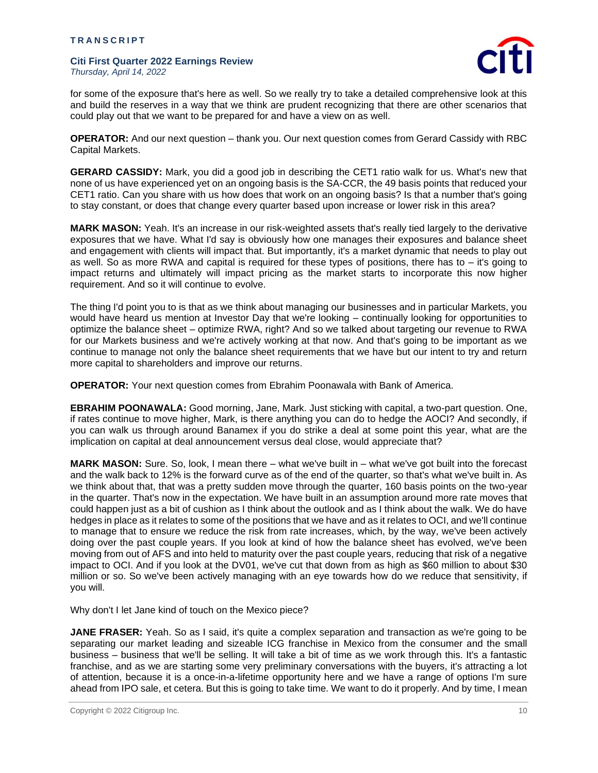

for some of the exposure that's here as well. So we really try to take a detailed comprehensive look at this and build the reserves in a way that we think are prudent recognizing that there are other scenarios that could play out that we want to be prepared for and have a view on as well.

**OPERATOR:** And our next question – thank you. Our next question comes from Gerard Cassidy with RBC Capital Markets.

**GERARD CASSIDY:** Mark, you did a good job in describing the CET1 ratio walk for us. What's new that none of us have experienced yet on an ongoing basis is the SA-CCR, the 49 basis points that reduced your CET1 ratio. Can you share with us how does that work on an ongoing basis? Is that a number that's going to stay constant, or does that change every quarter based upon increase or lower risk in this area?

**MARK MASON:** Yeah. It's an increase in our risk-weighted assets that's really tied largely to the derivative exposures that we have. What I'd say is obviously how one manages their exposures and balance sheet and engagement with clients will impact that. But importantly, it's a market dynamic that needs to play out as well. So as more RWA and capital is required for these types of positions, there has to – it's going to impact returns and ultimately will impact pricing as the market starts to incorporate this now higher requirement. And so it will continue to evolve.

The thing I'd point you to is that as we think about managing our businesses and in particular Markets, you would have heard us mention at Investor Day that we're looking – continually looking for opportunities to optimize the balance sheet – optimize RWA, right? And so we talked about targeting our revenue to RWA for our Markets business and we're actively working at that now. And that's going to be important as we continue to manage not only the balance sheet requirements that we have but our intent to try and return more capital to shareholders and improve our returns.

**OPERATOR:** Your next question comes from Ebrahim Poonawala with Bank of America.

**EBRAHIM POONAWALA:** Good morning, Jane, Mark. Just sticking with capital, a two-part question. One, if rates continue to move higher, Mark, is there anything you can do to hedge the AOCI? And secondly, if you can walk us through around Banamex if you do strike a deal at some point this year, what are the implication on capital at deal announcement versus deal close, would appreciate that?

**MARK MASON:** Sure. So, look, I mean there – what we've built in – what we've got built into the forecast and the walk back to 12% is the forward curve as of the end of the quarter, so that's what we've built in. As we think about that, that was a pretty sudden move through the quarter, 160 basis points on the two-year in the quarter. That's now in the expectation. We have built in an assumption around more rate moves that could happen just as a bit of cushion as I think about the outlook and as I think about the walk. We do have hedges in place as it relates to some of the positions that we have and as it relates to OCI, and we'll continue to manage that to ensure we reduce the risk from rate increases, which, by the way, we've been actively doing over the past couple years. If you look at kind of how the balance sheet has evolved, we've been moving from out of AFS and into held to maturity over the past couple years, reducing that risk of a negative impact to OCI. And if you look at the DV01, we've cut that down from as high as \$60 million to about \$30 million or so. So we've been actively managing with an eye towards how do we reduce that sensitivity, if you will.

Why don't I let Jane kind of touch on the Mexico piece?

**JANE FRASER:** Yeah. So as I said, it's quite a complex separation and transaction as we're going to be separating our market leading and sizeable ICG franchise in Mexico from the consumer and the small business – business that we'll be selling. It will take a bit of time as we work through this. It's a fantastic franchise, and as we are starting some very preliminary conversations with the buyers, it's attracting a lot of attention, because it is a once-in-a-lifetime opportunity here and we have a range of options I'm sure ahead from IPO sale, et cetera. But this is going to take time. We want to do it properly. And by time, I mean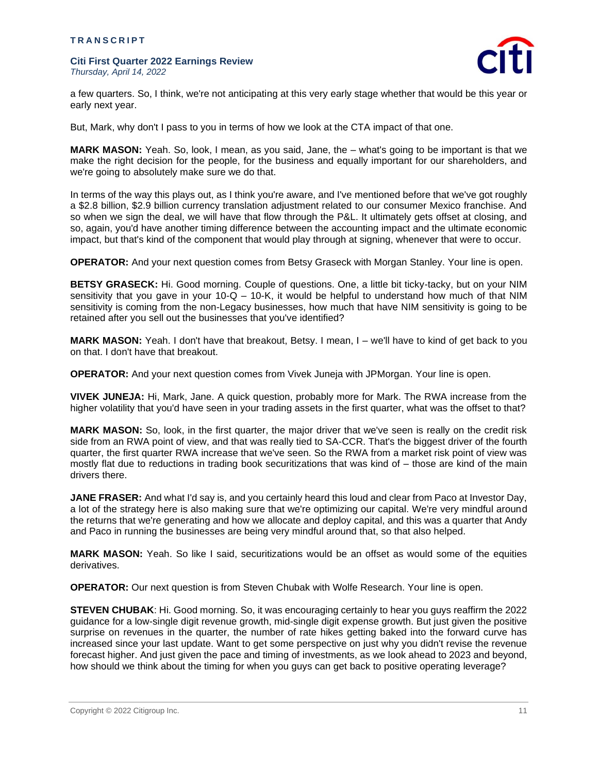

a few quarters. So, I think, we're not anticipating at this very early stage whether that would be this year or early next year.

But, Mark, why don't I pass to you in terms of how we look at the CTA impact of that one.

**MARK MASON:** Yeah. So, look, I mean, as you said, Jane, the – what's going to be important is that we make the right decision for the people, for the business and equally important for our shareholders, and we're going to absolutely make sure we do that.

In terms of the way this plays out, as I think you're aware, and I've mentioned before that we've got roughly a \$2.8 billion, \$2.9 billion currency translation adjustment related to our consumer Mexico franchise. And so when we sign the deal, we will have that flow through the P&L. It ultimately gets offset at closing, and so, again, you'd have another timing difference between the accounting impact and the ultimate economic impact, but that's kind of the component that would play through at signing, whenever that were to occur.

**OPERATOR:** And your next question comes from Betsy Graseck with Morgan Stanley. Your line is open.

**BETSY GRASECK:** Hi. Good morning. Couple of questions. One, a little bit ticky-tacky, but on your NIM sensitivity that you gave in your  $10-Q - 10-K$ , it would be helpful to understand how much of that NIM sensitivity is coming from the non-Legacy businesses, how much that have NIM sensitivity is going to be retained after you sell out the businesses that you've identified?

**MARK MASON:** Yeah. I don't have that breakout, Betsy. I mean, I – we'll have to kind of get back to you on that. I don't have that breakout.

**OPERATOR:** And your next question comes from Vivek Juneja with JPMorgan. Your line is open.

**VIVEK JUNEJA:** Hi, Mark, Jane. A quick question, probably more for Mark. The RWA increase from the higher volatility that you'd have seen in your trading assets in the first quarter, what was the offset to that?

**MARK MASON:** So, look, in the first quarter, the major driver that we've seen is really on the credit risk side from an RWA point of view, and that was really tied to SA-CCR. That's the biggest driver of the fourth quarter, the first quarter RWA increase that we've seen. So the RWA from a market risk point of view was mostly flat due to reductions in trading book securitizations that was kind of – those are kind of the main drivers there.

**JANE FRASER:** And what I'd say is, and you certainly heard this loud and clear from Paco at Investor Day, a lot of the strategy here is also making sure that we're optimizing our capital. We're very mindful around the returns that we're generating and how we allocate and deploy capital, and this was a quarter that Andy and Paco in running the businesses are being very mindful around that, so that also helped.

**MARK MASON:** Yeah. So like I said, securitizations would be an offset as would some of the equities derivatives.

**OPERATOR:** Our next question is from Steven Chubak with Wolfe Research. Your line is open.

**STEVEN CHUBAK**: Hi. Good morning. So, it was encouraging certainly to hear you guys reaffirm the 2022 guidance for a low-single digit revenue growth, mid-single digit expense growth. But just given the positive surprise on revenues in the quarter, the number of rate hikes getting baked into the forward curve has increased since your last update. Want to get some perspective on just why you didn't revise the revenue forecast higher. And just given the pace and timing of investments, as we look ahead to 2023 and beyond, how should we think about the timing for when you guys can get back to positive operating leverage?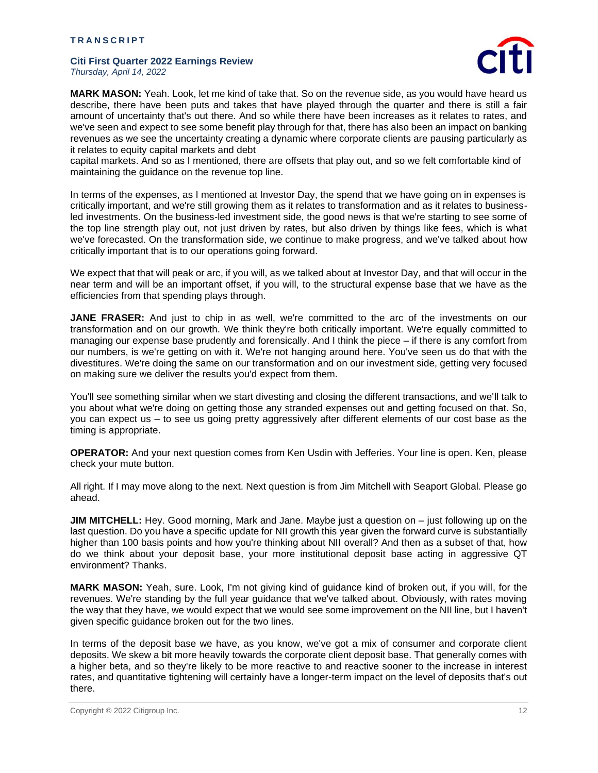

**MARK MASON:** Yeah. Look, let me kind of take that. So on the revenue side, as you would have heard us describe, there have been puts and takes that have played through the quarter and there is still a fair amount of uncertainty that's out there. And so while there have been increases as it relates to rates, and we've seen and expect to see some benefit play through for that, there has also been an impact on banking revenues as we see the uncertainty creating a dynamic where corporate clients are pausing particularly as it relates to equity capital markets and debt

capital markets. And so as I mentioned, there are offsets that play out, and so we felt comfortable kind of maintaining the guidance on the revenue top line.

In terms of the expenses, as I mentioned at Investor Day, the spend that we have going on in expenses is critically important, and we're still growing them as it relates to transformation and as it relates to businessled investments. On the business-led investment side, the good news is that we're starting to see some of the top line strength play out, not just driven by rates, but also driven by things like fees, which is what we've forecasted. On the transformation side, we continue to make progress, and we've talked about how critically important that is to our operations going forward.

We expect that that will peak or arc, if you will, as we talked about at Investor Day, and that will occur in the near term and will be an important offset, if you will, to the structural expense base that we have as the efficiencies from that spending plays through.

**JANE FRASER:** And just to chip in as well, we're committed to the arc of the investments on our transformation and on our growth. We think they're both critically important. We're equally committed to managing our expense base prudently and forensically. And I think the piece – if there is any comfort from our numbers, is we're getting on with it. We're not hanging around here. You've seen us do that with the divestitures. We're doing the same on our transformation and on our investment side, getting very focused on making sure we deliver the results you'd expect from them.

You'll see something similar when we start divesting and closing the different transactions, and we'll talk to you about what we're doing on getting those any stranded expenses out and getting focused on that. So, you can expect us – to see us going pretty aggressively after different elements of our cost base as the timing is appropriate.

**OPERATOR:** And your next question comes from Ken Usdin with Jefferies. Your line is open. Ken, please check your mute button.

All right. If I may move along to the next. Next question is from Jim Mitchell with Seaport Global. Please go ahead.

**JIM MITCHELL:** Hey. Good morning, Mark and Jane. Maybe just a question on – just following up on the last question. Do you have a specific update for NII growth this year given the forward curve is substantially higher than 100 basis points and how you're thinking about NII overall? And then as a subset of that, how do we think about your deposit base, your more institutional deposit base acting in aggressive QT environment? Thanks.

**MARK MASON:** Yeah, sure. Look, I'm not giving kind of guidance kind of broken out, if you will, for the revenues. We're standing by the full year guidance that we've talked about. Obviously, with rates moving the way that they have, we would expect that we would see some improvement on the NII line, but I haven't given specific guidance broken out for the two lines.

In terms of the deposit base we have, as you know, we've got a mix of consumer and corporate client deposits. We skew a bit more heavily towards the corporate client deposit base. That generally comes with a higher beta, and so they're likely to be more reactive to and reactive sooner to the increase in interest rates, and quantitative tightening will certainly have a longer-term impact on the level of deposits that's out there.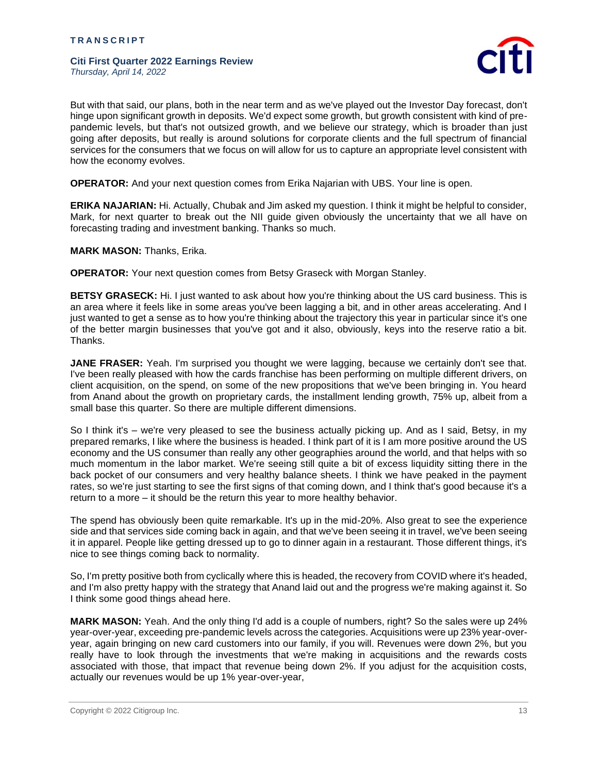

But with that said, our plans, both in the near term and as we've played out the Investor Day forecast, don't hinge upon significant growth in deposits. We'd expect some growth, but growth consistent with kind of prepandemic levels, but that's not outsized growth, and we believe our strategy, which is broader than just going after deposits, but really is around solutions for corporate clients and the full spectrum of financial services for the consumers that we focus on will allow for us to capture an appropriate level consistent with how the economy evolves.

**OPERATOR:** And your next question comes from Erika Najarian with UBS. Your line is open.

**ERIKA NAJARIAN:** Hi. Actually, Chubak and Jim asked my question. I think it might be helpful to consider, Mark, for next quarter to break out the NII guide given obviously the uncertainty that we all have on forecasting trading and investment banking. Thanks so much.

**MARK MASON:** Thanks, Erika.

**OPERATOR:** Your next question comes from Betsy Graseck with Morgan Stanley.

**BETSY GRASECK:** Hi. I just wanted to ask about how you're thinking about the US card business. This is an area where it feels like in some areas you've been lagging a bit, and in other areas accelerating. And I just wanted to get a sense as to how you're thinking about the trajectory this year in particular since it's one of the better margin businesses that you've got and it also, obviously, keys into the reserve ratio a bit. Thanks.

**JANE FRASER:** Yeah. I'm surprised you thought we were lagging, because we certainly don't see that. I've been really pleased with how the cards franchise has been performing on multiple different drivers, on client acquisition, on the spend, on some of the new propositions that we've been bringing in. You heard from Anand about the growth on proprietary cards, the installment lending growth, 75% up, albeit from a small base this quarter. So there are multiple different dimensions.

So I think it's – we're very pleased to see the business actually picking up. And as I said, Betsy, in my prepared remarks, I like where the business is headed. I think part of it is I am more positive around the US economy and the US consumer than really any other geographies around the world, and that helps with so much momentum in the labor market. We're seeing still quite a bit of excess liquidity sitting there in the back pocket of our consumers and very healthy balance sheets. I think we have peaked in the payment rates, so we're just starting to see the first signs of that coming down, and I think that's good because it's a return to a more – it should be the return this year to more healthy behavior.

The spend has obviously been quite remarkable. It's up in the mid-20%. Also great to see the experience side and that services side coming back in again, and that we've been seeing it in travel, we've been seeing it in apparel. People like getting dressed up to go to dinner again in a restaurant. Those different things, it's nice to see things coming back to normality.

So, I'm pretty positive both from cyclically where this is headed, the recovery from COVID where it's headed, and I'm also pretty happy with the strategy that Anand laid out and the progress we're making against it. So I think some good things ahead here.

**MARK MASON:** Yeah. And the only thing I'd add is a couple of numbers, right? So the sales were up 24% year-over-year, exceeding pre-pandemic levels across the categories. Acquisitions were up 23% year-overyear, again bringing on new card customers into our family, if you will. Revenues were down 2%, but you really have to look through the investments that we're making in acquisitions and the rewards costs associated with those, that impact that revenue being down 2%. If you adjust for the acquisition costs, actually our revenues would be up 1% year-over-year,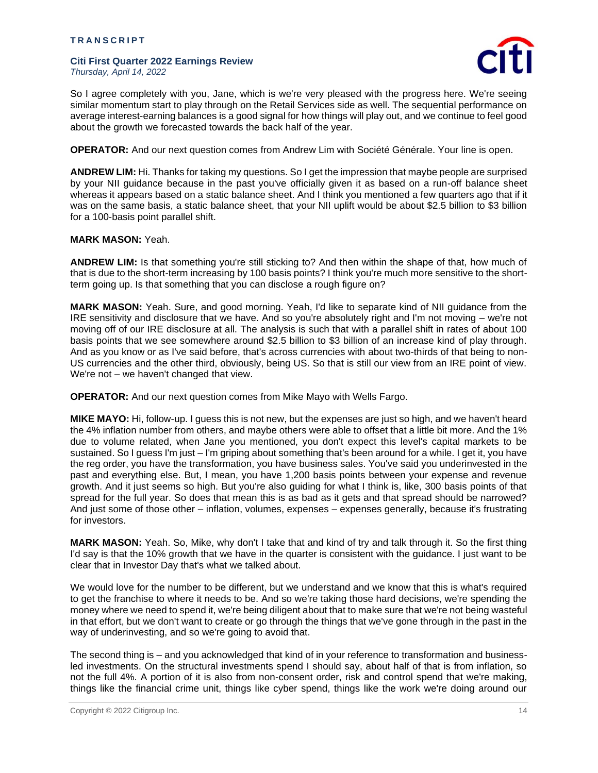

So I agree completely with you, Jane, which is we're very pleased with the progress here. We're seeing similar momentum start to play through on the Retail Services side as well. The sequential performance on average interest-earning balances is a good signal for how things will play out, and we continue to feel good about the growth we forecasted towards the back half of the year.

**OPERATOR:** And our next question comes from Andrew Lim with Société Générale. Your line is open.

**ANDREW LIM:** Hi. Thanks for taking my questions. So I get the impression that maybe people are surprised by your NII guidance because in the past you've officially given it as based on a run-off balance sheet whereas it appears based on a static balance sheet. And I think you mentioned a few quarters ago that if it was on the same basis, a static balance sheet, that your NII uplift would be about \$2.5 billion to \$3 billion for a 100-basis point parallel shift.

### **MARK MASON:** Yeah.

**ANDREW LIM:** Is that something you're still sticking to? And then within the shape of that, how much of that is due to the short-term increasing by 100 basis points? I think you're much more sensitive to the shortterm going up. Is that something that you can disclose a rough figure on?

**MARK MASON:** Yeah. Sure, and good morning. Yeah, I'd like to separate kind of NII guidance from the IRE sensitivity and disclosure that we have. And so you're absolutely right and I'm not moving – we're not moving off of our IRE disclosure at all. The analysis is such that with a parallel shift in rates of about 100 basis points that we see somewhere around \$2.5 billion to \$3 billion of an increase kind of play through. And as you know or as I've said before, that's across currencies with about two-thirds of that being to non-US currencies and the other third, obviously, being US. So that is still our view from an IRE point of view. We're not – we haven't changed that view.

**OPERATOR:** And our next question comes from Mike Mayo with Wells Fargo.

**MIKE MAYO:** Hi, follow-up. I guess this is not new, but the expenses are just so high, and we haven't heard the 4% inflation number from others, and maybe others were able to offset that a little bit more. And the 1% due to volume related, when Jane you mentioned, you don't expect this level's capital markets to be sustained. So I guess I'm just – I'm griping about something that's been around for a while. I get it, you have the reg order, you have the transformation, you have business sales. You've said you underinvested in the past and everything else. But, I mean, you have 1,200 basis points between your expense and revenue growth. And it just seems so high. But you're also guiding for what I think is, like, 300 basis points of that spread for the full year. So does that mean this is as bad as it gets and that spread should be narrowed? And just some of those other – inflation, volumes, expenses – expenses generally, because it's frustrating for investors.

**MARK MASON:** Yeah. So, Mike, why don't I take that and kind of try and talk through it. So the first thing I'd say is that the 10% growth that we have in the quarter is consistent with the guidance. I just want to be clear that in Investor Day that's what we talked about.

We would love for the number to be different, but we understand and we know that this is what's required to get the franchise to where it needs to be. And so we're taking those hard decisions, we're spending the money where we need to spend it, we're being diligent about that to make sure that we're not being wasteful in that effort, but we don't want to create or go through the things that we've gone through in the past in the way of underinvesting, and so we're going to avoid that.

The second thing is – and you acknowledged that kind of in your reference to transformation and businessled investments. On the structural investments spend I should say, about half of that is from inflation, so not the full 4%. A portion of it is also from non-consent order, risk and control spend that we're making, things like the financial crime unit, things like cyber spend, things like the work we're doing around our